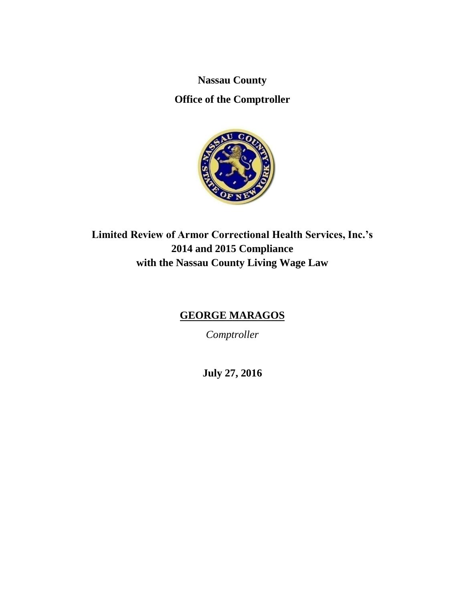**Nassau County**

**Office of the Comptroller**



**Limited Review of Armor Correctional Health Services, Inc.'s 2014 and 2015 Compliance with the Nassau County Living Wage Law**

# **GEORGE MARAGOS**

*Comptroller*

**July 27, 2016**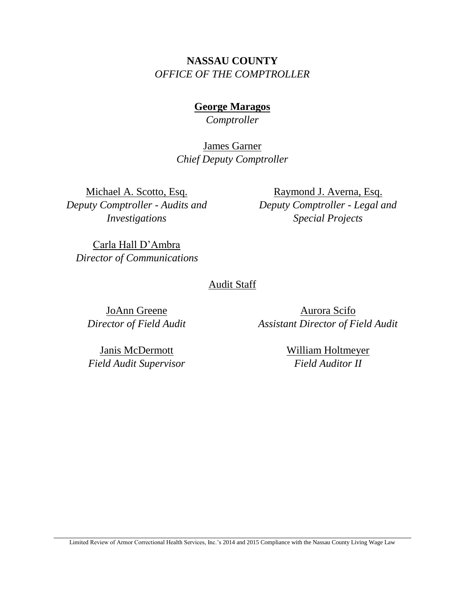# **NASSAU COUNTY** *OFFICE OF THE COMPTROLLER*

**George Maragos** *Comptroller*

James Garner *Chief Deputy Comptroller*

Michael A. Scotto, Esq. *Deputy Comptroller - Audits and Investigations*

Raymond J. Averna, Esq. *Deputy Comptroller - Legal and Special Projects* 

Carla Hall D'Ambra  *Director of Communications*

# Audit Staff

JoAnn Greene *Director of Field Audit*

Aurora Scifo *Assistant Director of Field Audit*

Janis McDermott *Field Audit Supervisor* William Holtmeyer *Field Auditor II*

Limited Review of Armor Correctional Health Services, Inc.'s 2014 and 2015 Compliance with the Nassau County Living Wage Law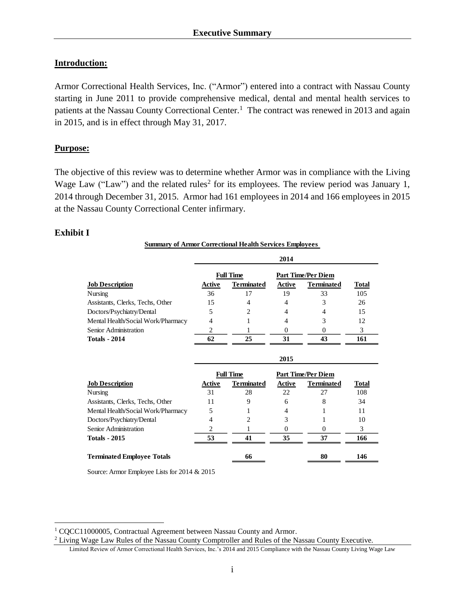#### **Introduction:**

Armor Correctional Health Services, Inc. ("Armor") entered into a contract with Nassau County starting in June 2011 to provide comprehensive medical, dental and mental health services to patients at the Nassau County Correctional Center.<sup>1</sup> The contract was renewed in 2013 and again in 2015, and is in effect through May 31, 2017.

#### **Purpose:**

The objective of this review was to determine whether Armor was in compliance with the Living Wage Law ("Law") and the related rules<sup>2</sup> for its employees. The review period was January 1, 2014 through December 31, 2015. Armor had 161 employees in 2014 and 166 employees in 2015 at the Nassau County Correctional Center infirmary.

#### **Exhibit I**

 $\overline{a}$ 

| <b>Summary of Armor Correctional Health Services Employees</b> |                |                   |                           |                           |              |  |  |  |  |  |
|----------------------------------------------------------------|----------------|-------------------|---------------------------|---------------------------|--------------|--|--|--|--|--|
|                                                                |                |                   | 2014                      |                           |              |  |  |  |  |  |
|                                                                |                | <b>Full Time</b>  | <b>Part Time/Per Diem</b> |                           |              |  |  |  |  |  |
| <b>Job Description</b>                                         | Active         | <b>Terminated</b> | Active                    | <b>Terminated</b>         | Total        |  |  |  |  |  |
| Nursing                                                        | 36             | 17                | 19                        | 33                        | 105          |  |  |  |  |  |
| Assistants, Clerks, Techs, Other                               | 15             | 4                 | 4                         | 3                         | 26           |  |  |  |  |  |
| Doctors/Psychiatry/Dental                                      | 5              | 2                 | 4                         | 4                         | 15           |  |  |  |  |  |
| Mental Health/Social Work/Pharmacy                             | 4              |                   | 4                         | 3                         | 12           |  |  |  |  |  |
| Senior Administration                                          | 2              | 1                 | 0                         | $\Omega$                  | 3            |  |  |  |  |  |
| <b>Totals - 2014</b>                                           | 62             | 25                | 31                        | 43                        | 161          |  |  |  |  |  |
|                                                                |                |                   | 2015                      |                           |              |  |  |  |  |  |
|                                                                |                | <b>Full Time</b>  |                           | <b>Part Time/Per Diem</b> |              |  |  |  |  |  |
| <b>Job Description</b>                                         | Active         | <b>Terminated</b> | <b>Active</b>             | <b>Terminated</b>         | <b>Total</b> |  |  |  |  |  |
| Nursing                                                        | 31             | 28                | 22                        | 27                        | 108          |  |  |  |  |  |
| Assistants, Clerks, Techs, Other                               | 11             | 9                 | 6                         | 8                         | 34           |  |  |  |  |  |
| Mental Health/Social Work/Pharmacy                             | 5              |                   | 4                         |                           | 11           |  |  |  |  |  |
| Doctors/Psychiatry/Dental                                      | 4              | 2                 | 3                         |                           | 10           |  |  |  |  |  |
| Senior Administration                                          | $\overline{c}$ |                   | 0                         | $\Omega$                  | 3            |  |  |  |  |  |
| Totals - 2015                                                  | 53             | 41                | 35                        | 37                        | 166          |  |  |  |  |  |
| <b>Terminated Employee Totals</b>                              |                | 66                |                           | 80                        | 146          |  |  |  |  |  |

Source: Armor Employee Lists for 2014 & 2015

<sup>&</sup>lt;sup>1</sup> CQCC11000005, Contractual Agreement between Nassau County and Armor.

Limited Review of Armor Correctional Health Services, Inc.'s 2014 and 2015 Compliance with the Nassau County Living Wage Law <sup>2</sup> Living Wage Law Rules of the Nassau County Comptroller and Rules of the Nassau County Executive.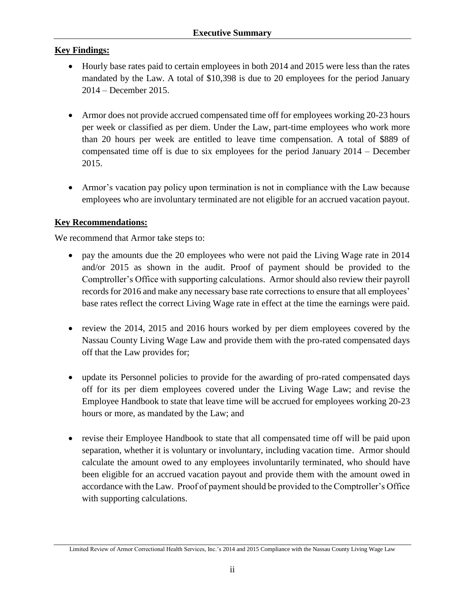# **Key Findings:**

- Hourly base rates paid to certain employees in both 2014 and 2015 were less than the rates mandated by the Law. A total of \$10,398 is due to 20 employees for the period January 2014 – December 2015.
- Armor does not provide accrued compensated time off for employees working 20-23 hours per week or classified as per diem. Under the Law, part-time employees who work more than 20 hours per week are entitled to leave time compensation. A total of \$889 of compensated time off is due to six employees for the period January 2014 – December 2015.
- Armor's vacation pay policy upon termination is not in compliance with the Law because employees who are involuntary terminated are not eligible for an accrued vacation payout.

# **Key Recommendations:**

We recommend that Armor take steps to:

- pay the amounts due the 20 employees who were not paid the Living Wage rate in 2014 and/or 2015 as shown in the audit. Proof of payment should be provided to the Comptroller's Office with supporting calculations. Armor should also review their payroll records for 2016 and make any necessary base rate corrections to ensure that all employees' base rates reflect the correct Living Wage rate in effect at the time the earnings were paid.
- review the 2014, 2015 and 2016 hours worked by per diem employees covered by the Nassau County Living Wage Law and provide them with the pro-rated compensated days off that the Law provides for;
- update its Personnel policies to provide for the awarding of pro-rated compensated days off for its per diem employees covered under the Living Wage Law; and revise the Employee Handbook to state that leave time will be accrued for employees working 20-23 hours or more, as mandated by the Law; and
- revise their Employee Handbook to state that all compensated time off will be paid upon separation, whether it is voluntary or involuntary, including vacation time. Armor should calculate the amount owed to any employees involuntarily terminated, who should have been eligible for an accrued vacation payout and provide them with the amount owed in accordance with the Law. Proof of payment should be provided to the Comptroller's Office with supporting calculations.

Limited Review of Armor Correctional Health Services, Inc.'s 2014 and 2015 Compliance with the Nassau County Living Wage Law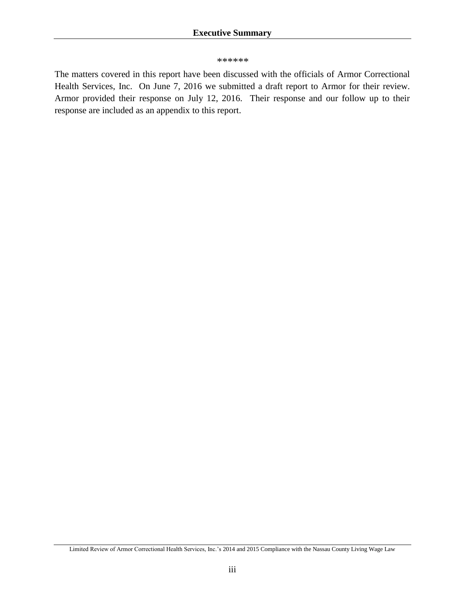#### *\*\*\*\*\*\**

The matters covered in this report have been discussed with the officials of Armor Correctional Health Services, Inc. On June 7, 2016 we submitted a draft report to Armor for their review. Armor provided their response on July 12, 2016. Their response and our follow up to their response are included as an appendix to this report.

Limited Review of Armor Correctional Health Services, Inc.'s 2014 and 2015 Compliance with the Nassau County Living Wage Law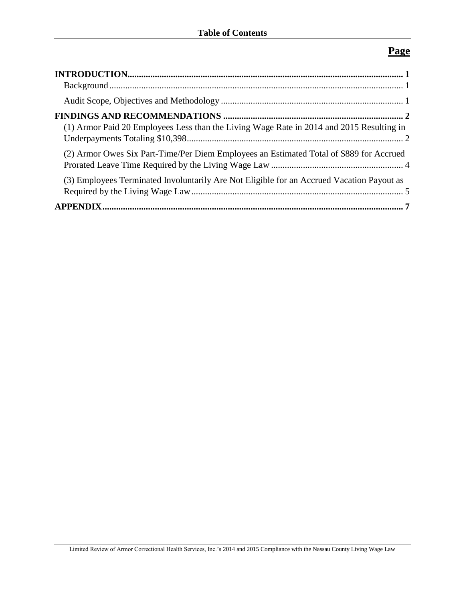# **Page**

| (1) Armor Paid 20 Employees Less than the Living Wage Rate in 2014 and 2015 Resulting in  |  |
|-------------------------------------------------------------------------------------------|--|
| (2) Armor Owes Six Part-Time/Per Diem Employees an Estimated Total of \$889 for Accrued   |  |
| (3) Employees Terminated Involuntarily Are Not Eligible for an Accrued Vacation Payout as |  |
|                                                                                           |  |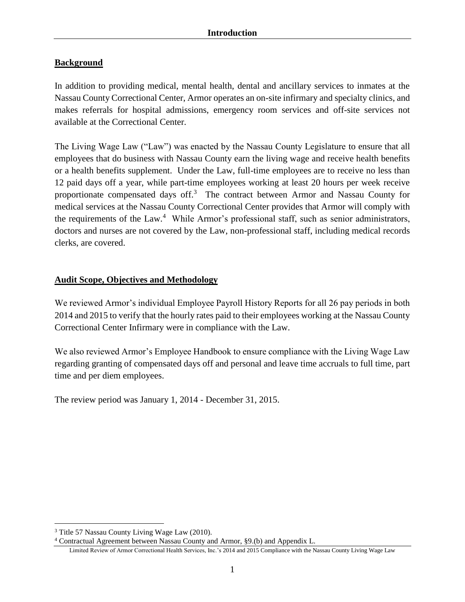# <span id="page-6-1"></span><span id="page-6-0"></span>**Background**

In addition to providing medical, mental health, dental and ancillary services to inmates at the Nassau County Correctional Center, Armor operates an on-site infirmary and specialty clinics, and makes referrals for hospital admissions, emergency room services and off-site services not available at the Correctional Center.

The Living Wage Law ("Law") was enacted by the Nassau County Legislature to ensure that all employees that do business with Nassau County earn the living wage and receive health benefits or a health benefits supplement. Under the Law, full-time employees are to receive no less than 12 paid days off a year, while part-time employees working at least 20 hours per week receive proportionate compensated days off. $3$  The contract between Armor and Nassau County for medical services at the Nassau County Correctional Center provides that Armor will comply with the requirements of the Law.<sup>4</sup> While Armor's professional staff, such as senior administrators, doctors and nurses are not covered by the Law, non-professional staff, including medical records clerks, are covered.

# <span id="page-6-2"></span>**Audit Scope, Objectives and Methodology**

We reviewed Armor's individual Employee Payroll History Reports for all 26 pay periods in both 2014 and 2015 to verify that the hourly rates paid to their employees working at the Nassau County Correctional Center Infirmary were in compliance with the Law.

We also reviewed Armor's Employee Handbook to ensure compliance with the Living Wage Law regarding granting of compensated days off and personal and leave time accruals to full time, part time and per diem employees.

The review period was January 1, 2014 - December 31, 2015.

 $\overline{a}$ 

<sup>4</sup> Contractual Agreement between Nassau County and Armor, §9.(b) and Appendix L.

<sup>3</sup> Title 57 Nassau County Living Wage Law (2010).

Limited Review of Armor Correctional Health Services, Inc.'s 2014 and 2015 Compliance with the Nassau County Living Wage Law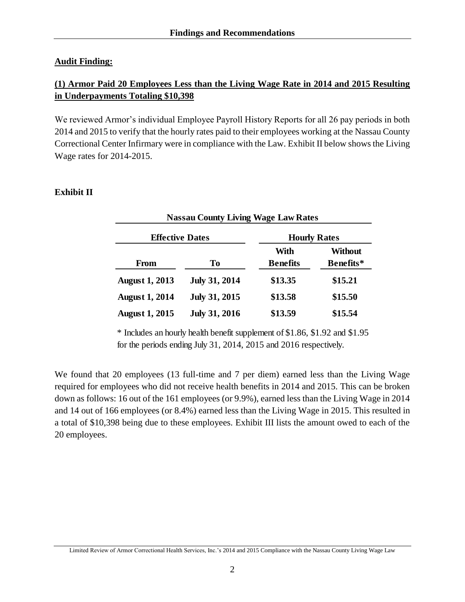### <span id="page-7-0"></span>**Audit Finding:**

# <span id="page-7-1"></span>**(1) Armor Paid 20 Employees Less than the Living Wage Rate in 2014 and 2015 Resulting in Underpayments Totaling \$10,398**

We reviewed Armor's individual Employee Payroll History Reports for all 26 pay periods in both 2014 and 2015 to verify that the hourly rates paid to their employees working at the Nassau County Correctional Center Infirmary were in compliance with the Law. Exhibit II below shows the Living Wage rates for 2014-2015.

#### **Exhibit II**

| <b>Nassau County Living Wage Law Rates</b> |                      |                     |                |  |  |  |  |  |
|--------------------------------------------|----------------------|---------------------|----------------|--|--|--|--|--|
| <b>Effective Dates</b>                     |                      | <b>Hourly Rates</b> |                |  |  |  |  |  |
|                                            |                      | With                | <b>Without</b> |  |  |  |  |  |
| From                                       | To                   | <b>Benefits</b>     | Benefits*      |  |  |  |  |  |
| <b>August 1, 2013</b>                      | <b>July 31, 2014</b> | \$13.35             | \$15.21        |  |  |  |  |  |
| <b>August 1, 2014</b>                      | <b>July 31, 2015</b> | \$13.58             | \$15.50        |  |  |  |  |  |
| <b>August 1, 2015</b>                      | <b>July 31, 2016</b> | \$13.59             | \$15.54        |  |  |  |  |  |

\* Includes an hourly health benefit supplement of \$1.86, \$1.92 and \$1.95 for the periods ending July 31, 2014, 2015 and 2016 respectively.

We found that 20 employees (13 full-time and 7 per diem) earned less than the Living Wage required for employees who did not receive health benefits in 2014 and 2015. This can be broken down as follows: 16 out of the 161 employees (or 9.9%), earned less than the Living Wage in 2014 and 14 out of 166 employees (or 8.4%) earned less than the Living Wage in 2015. This resulted in a total of \$10,398 being due to these employees. Exhibit III lists the amount owed to each of the 20 employees.

Limited Review of Armor Correctional Health Services, Inc.'s 2014 and 2015 Compliance with the Nassau County Living Wage Law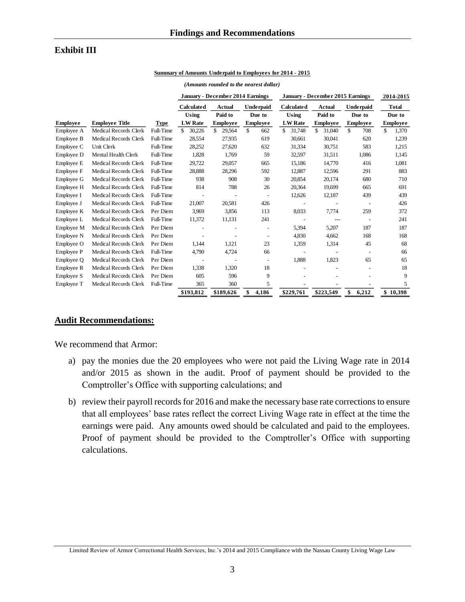#### **Exhibit III**

#### **Summary of Amounts Underpaid to Employees for 2014 - 2015**

|                 |                       |           | <b>January - December 2014 Earnings</b> |                 |                          | January - December 2015 Earnings |                 |                          | 2014-2015       |
|-----------------|-----------------------|-----------|-----------------------------------------|-----------------|--------------------------|----------------------------------|-----------------|--------------------------|-----------------|
|                 |                       |           | <b>Calculated</b>                       | <b>Actual</b>   | <b>Underpaid</b>         | <b>Calculated</b>                | Actual          | <b>Underpaid</b>         | <b>Total</b>    |
|                 |                       |           | Using                                   | Paid to         | Due to                   | Using                            | Paid to         | Due to                   | Due to          |
| <b>Employee</b> | <b>Employee Title</b> | Type      | <b>LW</b> Rate                          | <b>Employee</b> | <b>Employee</b>          | <b>LW</b> Rate                   | <b>Employee</b> | <b>Employee</b>          | <b>Employee</b> |
| Employee A      | Medical Records Clerk | Full-Time | 30,226<br>\$                            | \$<br>29,564    | \$<br>662                | 31,748<br>\$                     | \$<br>31,040    | \$<br>708                | \$<br>1,370     |
| Employee B      | Medical Records Clerk | Full-Time | 28,554                                  | 27,935          | 619                      | 30,661                           | 30,041          | 620                      | 1,239           |
| Employee C      | Unit Clerk            | Full-Time | 28,252                                  | 27,620          | 632                      | 31,334                           | 30,751          | 583                      | 1,215           |
| Employee D      | Mental Health Clerk   | Full-Time | 1,828                                   | 1,769           | 59                       | 32,597                           | 31,511          | 1,086                    | 1,145           |
| Employee E      | Medical Records Clerk | Full-Time | 29,722                                  | 29,057          | 665                      | 15,186                           | 14,770          | 416                      | 1,081           |
| Employee F      | Medical Records Clerk | Full-Time | 28,888                                  | 28,296          | 592                      | 12,887                           | 12,596          | 291                      | 883             |
| Employee G      | Medical Records Clerk | Full-Time | 938                                     | 908             | 30                       | 20,854                           | 20,174          | 680                      | 710             |
| Employee H      | Medical Records Clerk | Full-Time | 814                                     | 788             | 26                       | 20,364                           | 19,699          | 665                      | 691             |
| Employee I      | Medical Records Clerk | Full-Time |                                         |                 | $\overline{\phantom{a}}$ | 12,626                           | 12,187          | 439                      | 439             |
| Employee J      | Medical Records Clerk | Full-Time | 21,007                                  | 20,581          | 426                      |                                  |                 |                          | 426             |
| Employee K      | Medical Records Clerk | Per Diem  | 3.969                                   | 3,856           | 113                      | 8,033                            | 7,774           | 259                      | 372             |
| Employee L      | Medical Records Clerk | Full-Time | 11,372                                  | 11,131          | 241                      | $\overline{a}$                   | ---             | $\overline{\phantom{a}}$ | 241             |
| Employee M      | Medical Records Clerk | Per Diem  |                                         |                 | $\overline{a}$           | 5,394                            | 5,207           | 187                      | 187             |
| Employee N      | Medical Records Clerk | Per Diem  | $\overline{\phantom{a}}$                |                 | $\overline{\phantom{0}}$ | 4,830                            | 4,662           | 168                      | 168             |
| Employee O      | Medical Records Clerk | Per Diem  | 1,144                                   | 1,121           | 23                       | 1,359                            | 1,314           | 45                       | 68              |
| Employee P      | Medical Records Clerk | Full-Time | 4,790                                   | 4,724           | 66                       | $\overline{\phantom{a}}$         |                 | $\overline{\phantom{a}}$ | 66              |
| Employee Q      | Medical Records Clerk | Per Diem  | $\overline{\phantom{a}}$                |                 | $\overline{\phantom{a}}$ | 1,888                            | 1,823           | 65                       | 65              |
| Employee R      | Medical Records Clerk | Per Diem  | 1,338                                   | 1,320           | 18                       |                                  |                 |                          | 18              |
| Employee S      | Medical Records Clerk | Per Diem  | 605                                     | 596             | 9                        |                                  |                 |                          | 9               |
| Employee T      | Medical Records Clerk | Full-Time | 365                                     | 360             | 5                        |                                  |                 |                          | 5               |
|                 |                       |           | \$193.812                               | \$189,626       | \$<br>4.186              | \$229,761                        | \$223,549       | \$<br>6.212              | \$10,398        |

#### *(Amounts rounded to the nearest dollar)*

#### **Audit Recommendations:**

We recommend that Armor:

- a) pay the monies due the 20 employees who were not paid the Living Wage rate in 2014 and/or 2015 as shown in the audit. Proof of payment should be provided to the Comptroller's Office with supporting calculations; and
- b) review their payroll records for 2016 and make the necessary base rate corrections to ensure that all employees' base rates reflect the correct Living Wage rate in effect at the time the earnings were paid. Any amounts owed should be calculated and paid to the employees. Proof of payment should be provided to the Comptroller's Office with supporting calculations.

Limited Review of Armor Correctional Health Services, Inc.'s 2014 and 2015 Compliance with the Nassau County Living Wage Law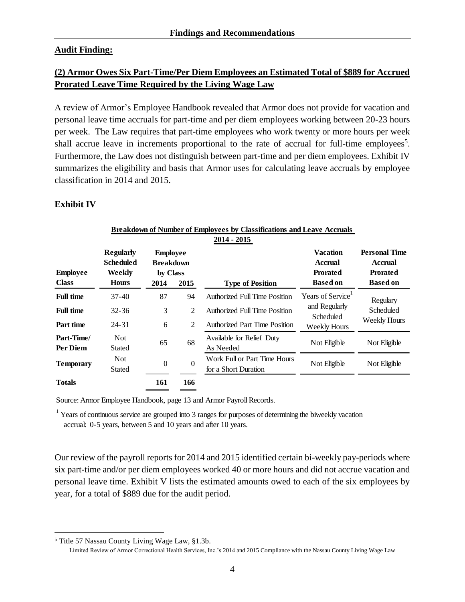#### **Audit Finding:**

# <span id="page-9-0"></span>**(2) Armor Owes Six Part-Time/Per Diem Employees an Estimated Total of \$889 for Accrued Prorated Leave Time Required by the Living Wage Law**

A review of Armor's Employee Handbook revealed that Armor does not provide for vacation and personal leave time accruals for part-time and per diem employees working between 20-23 hours per week. The Law requires that part-time employees who work twenty or more hours per week shall accrue leave in increments proportional to the rate of accrual for full-time employees<sup>5</sup>. Furthermore, the Law does not distinguish between part-time and per diem employees. Exhibit IV summarizes the eligibility and basis that Armor uses for calculating leave accruals by employee classification in 2014 and 2015.

#### **Exhibit IV**

| <b>Breakdown of Number of Employees by Classifications and Leave Accruals</b> |                                                         |                                                         |          |                                                      |                                                                         |                                                                              |  |
|-------------------------------------------------------------------------------|---------------------------------------------------------|---------------------------------------------------------|----------|------------------------------------------------------|-------------------------------------------------------------------------|------------------------------------------------------------------------------|--|
|                                                                               |                                                         |                                                         |          | $2014 - 2015$                                        |                                                                         |                                                                              |  |
| <b>Employee</b><br><b>Class</b>                                               | <b>Regularly</b><br>Scheduled<br>Weekly<br><b>Hours</b> | <b>Employee</b><br><b>Breakdown</b><br>by Class<br>2014 | 2015     | <b>Type of Position</b>                              | <b>Vacation</b><br><b>Accrual</b><br><b>Prorated</b><br><b>Based on</b> | <b>Personal Time</b><br><b>Accrual</b><br><b>Prorated</b><br><b>Based on</b> |  |
| <b>Full time</b>                                                              | 37-40                                                   | 87                                                      | 94       | <b>Authorized Full Time Position</b>                 | Years of Service <sup>1</sup>                                           | Regulary                                                                     |  |
| <b>Full time</b>                                                              | 32-36                                                   | 3                                                       | 2        | <b>Authorized Full Time Position</b>                 | and Regularly<br>Scheduled                                              | Scheduled<br>Weekly Hours                                                    |  |
| Part time                                                                     | 24-31                                                   | 6                                                       | 2        | <b>Authorized Part Time Position</b>                 | Weekly Hours                                                            |                                                                              |  |
| Part-Time/<br><b>Per Diem</b>                                                 | <b>Not</b><br>Stated                                    | 65                                                      | 68       | Available for Relief Duty<br>As Needed               | Not Eligible                                                            | Not Eligible                                                                 |  |
| <b>Temporary</b>                                                              | <b>Not</b><br>Stated                                    | $\theta$                                                | $\Omega$ | Work Full or Part Time Hours<br>for a Short Duration | Not Eligible                                                            | Not Eligible                                                                 |  |
| <b>Totals</b>                                                                 |                                                         | 161                                                     | 166      |                                                      |                                                                         |                                                                              |  |

Source: Armor Employee Handbook, page 13 and Armor Payroll Records.

<sup>1</sup> Years of continuous service are grouped into 3 ranges for purposes of determining the biweekly vacation accrual: 0-5 years, between 5 and 10 years and after 10 years.

Our review of the payroll reports for 2014 and 2015 identified certain bi-weekly pay-periods where six part-time and/or per diem employees worked 40 or more hours and did not accrue vacation and personal leave time. Exhibit V lists the estimated amounts owed to each of the six employees by year, for a total of \$889 due for the audit period.

 $\overline{a}$ 

<sup>5</sup> Title 57 Nassau County Living Wage Law, §1.3b.

Limited Review of Armor Correctional Health Services, Inc.'s 2014 and 2015 Compliance with the Nassau County Living Wage Law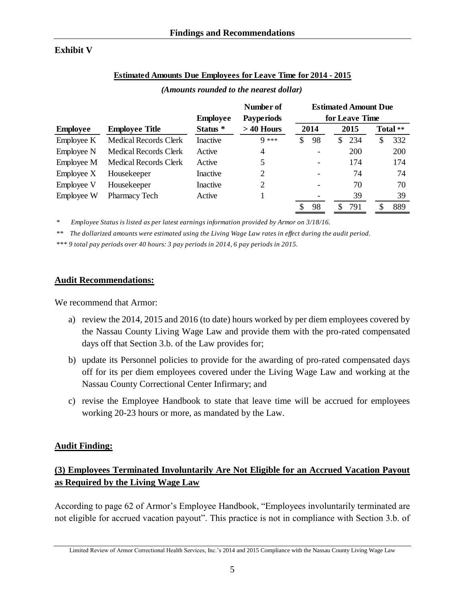### **Exhibit V**

#### **Estimated Amounts Due Employees for Leave Time for 2014 - 2015**

|                 |                              |                 | Number of         |                | <b>Estimated Amount Due</b> |           |  |
|-----------------|------------------------------|-----------------|-------------------|----------------|-----------------------------|-----------|--|
|                 |                              | <b>Employee</b> | <b>Payperiods</b> | for Leave Time |                             |           |  |
| <b>Employee</b> | <b>Employee Title</b>        | Status *        | $>40$ Hours       | 2014<br>2015   |                             | Total **  |  |
| Employee K      | <b>Medical Records Clerk</b> | Inactive        | $9***$            | 98<br>\$       | 234<br>\$.                  | 332<br>\$ |  |
| Employee N      | Medical Records Clerk        | Active          | 4                 |                | 200                         | 200       |  |
| Employee M      | <b>Medical Records Clerk</b> | Active          | 5                 |                | 174                         | 174       |  |
| Employee X      | Housekeeper                  | Inactive        | 2                 |                | 74                          | 74        |  |
| Employee V      | Housekeeper                  | Inactive        | 2                 |                | 70                          | 70        |  |
| Employee W      | Pharmacy Tech                | Active          |                   |                | 39                          | 39        |  |
|                 |                              |                 |                   | 98             | 791                         | 889<br>S  |  |

#### *(Amounts rounded to the nearest dollar)*

*\* Employee Status is listed as per latest earnings information provided by Armor on 3/18/16.*

*\*\* The dollarized amounts were estimated using the Living Wage Law rates in effect during the audit period.*

*\*\*\* 9 total pay periods over 40 hours: 3 pay periods in 2014, 6 pay periods in 2015.*

#### **Audit Recommendations:**

We recommend that Armor:

- a) review the 2014, 2015 and 2016 (to date) hours worked by per diem employees covered by the Nassau County Living Wage Law and provide them with the pro-rated compensated days off that Section 3.b. of the Law provides for;
- b) update its Personnel policies to provide for the awarding of pro-rated compensated days off for its per diem employees covered under the Living Wage Law and working at the Nassau County Correctional Center Infirmary; and
- c) revise the Employee Handbook to state that leave time will be accrued for employees working 20-23 hours or more, as mandated by the Law.

#### **Audit Finding:**

# <span id="page-10-0"></span>**(3) Employees Terminated Involuntarily Are Not Eligible for an Accrued Vacation Payout as Required by the Living Wage Law**

According to page 62 of Armor's Employee Handbook, "Employees involuntarily terminated are not eligible for accrued vacation payout". This practice is not in compliance with Section 3.b. of

Limited Review of Armor Correctional Health Services, Inc.'s 2014 and 2015 Compliance with the Nassau County Living Wage Law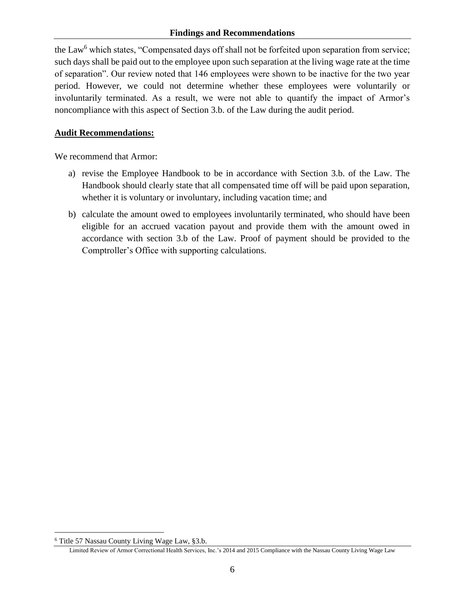the Law<sup>6</sup> which states, "Compensated days off shall not be forfeited upon separation from service; such days shall be paid out to the employee upon such separation at the living wage rate at the time of separation". Our review noted that 146 employees were shown to be inactive for the two year period. However, we could not determine whether these employees were voluntarily or involuntarily terminated. As a result, we were not able to quantify the impact of Armor's noncompliance with this aspect of Section 3.b. of the Law during the audit period.

#### **Audit Recommendations:**

We recommend that Armor:

- a) revise the Employee Handbook to be in accordance with Section 3.b. of the Law. The Handbook should clearly state that all compensated time off will be paid upon separation, whether it is voluntary or involuntary, including vacation time; and
- b) calculate the amount owed to employees involuntarily terminated, who should have been eligible for an accrued vacation payout and provide them with the amount owed in accordance with section 3.b of the Law. Proof of payment should be provided to the Comptroller's Office with supporting calculations.

 $\overline{a}$ 

<sup>6</sup> Title 57 Nassau County Living Wage Law, §3.b.

Limited Review of Armor Correctional Health Services, Inc.'s 2014 and 2015 Compliance with the Nassau County Living Wage Law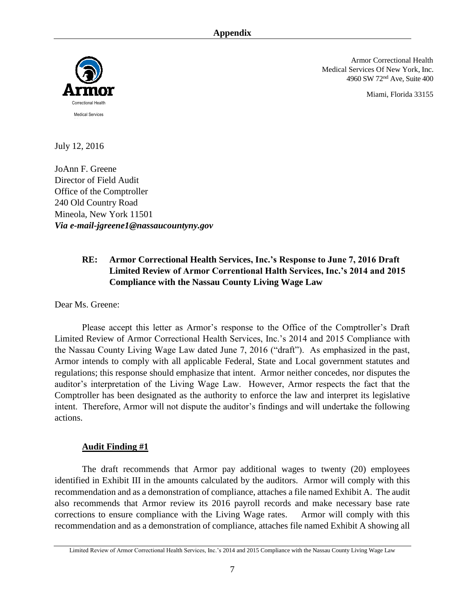<span id="page-12-0"></span>

Armor Correctional Health Medical Services Of New York, Inc. 4960 SW 72nd Ave, Suite 400

Miami, Florida 33155

July 12, 2016

JoAnn F. Greene Director of Field Audit Office of the Comptroller 240 Old Country Road Mineola, New York 11501 *Via e-mail-jgreene1@nassaucountyny.gov*

# **RE: Armor Correctional Health Services, Inc.'s Response to June 7, 2016 Draft Limited Review of Armor Correntional Halth Services, Inc.'s 2014 and 2015 Compliance with the Nassau County Living Wage Law**

Dear Ms. Greene:

Please accept this letter as Armor's response to the Office of the Comptroller's Draft Limited Review of Armor Correctional Health Services, Inc.'s 2014 and 2015 Compliance with the Nassau County Living Wage Law dated June 7, 2016 ("draft"). As emphasized in the past, Armor intends to comply with all applicable Federal, State and Local government statutes and regulations; this response should emphasize that intent. Armor neither concedes, nor disputes the auditor's interpretation of the Living Wage Law. However, Armor respects the fact that the Comptroller has been designated as the authority to enforce the law and interpret its legislative intent. Therefore, Armor will not dispute the auditor's findings and will undertake the following actions.

#### **Audit Finding #1**

The draft recommends that Armor pay additional wages to twenty (20) employees identified in Exhibit III in the amounts calculated by the auditors. Armor will comply with this recommendation and as a demonstration of compliance, attaches a file named Exhibit A. The audit also recommends that Armor review its 2016 payroll records and make necessary base rate corrections to ensure compliance with the Living Wage rates. Armor will comply with this recommendation and as a demonstration of compliance, attaches file named Exhibit A showing all

Limited Review of Armor Correctional Health Services, Inc.'s 2014 and 2015 Compliance with the Nassau County Living Wage Law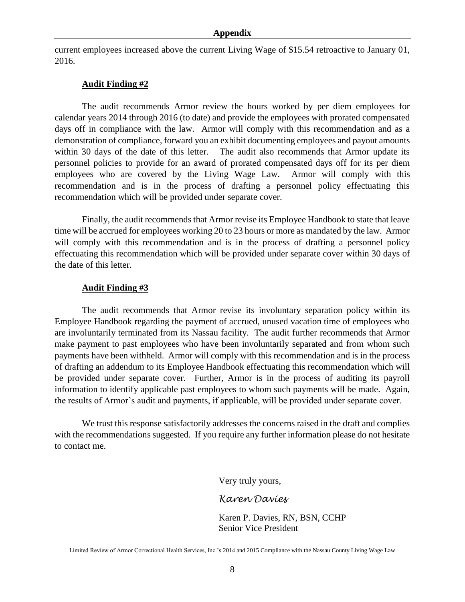current employees increased above the current Living Wage of \$15.54 retroactive to January 01, 2016.

#### **Audit Finding #2**

The audit recommends Armor review the hours worked by per diem employees for calendar years 2014 through 2016 (to date) and provide the employees with prorated compensated days off in compliance with the law. Armor will comply with this recommendation and as a demonstration of compliance, forward you an exhibit documenting employees and payout amounts within 30 days of the date of this letter. The audit also recommends that Armor update its personnel policies to provide for an award of prorated compensated days off for its per diem employees who are covered by the Living Wage Law. Armor will comply with this recommendation and is in the process of drafting a personnel policy effectuating this recommendation which will be provided under separate cover.

Finally, the audit recommends that Armor revise its Employee Handbook to state that leave time will be accrued for employees working 20 to 23 hours or more as mandated by the law. Armor will comply with this recommendation and is in the process of drafting a personnel policy effectuating this recommendation which will be provided under separate cover within 30 days of the date of this letter.

#### **Audit Finding #3**

The audit recommends that Armor revise its involuntary separation policy within its Employee Handbook regarding the payment of accrued, unused vacation time of employees who are involuntarily terminated from its Nassau facility. The audit further recommends that Armor make payment to past employees who have been involuntarily separated and from whom such payments have been withheld. Armor will comply with this recommendation and is in the process of drafting an addendum to its Employee Handbook effectuating this recommendation which will be provided under separate cover. Further, Armor is in the process of auditing its payroll information to identify applicable past employees to whom such payments will be made. Again, the results of Armor's audit and payments, if applicable, will be provided under separate cover.

We trust this response satisfactorily addresses the concerns raised in the draft and complies with the recommendations suggested. If you require any further information please do not hesitate to contact me.

Very truly yours,

*Karen Davies*

Karen P. Davies, RN, BSN, CCHP Senior Vice President

Limited Review of Armor Correctional Health Services, Inc.'s 2014 and 2015 Compliance with the Nassau County Living Wage Law